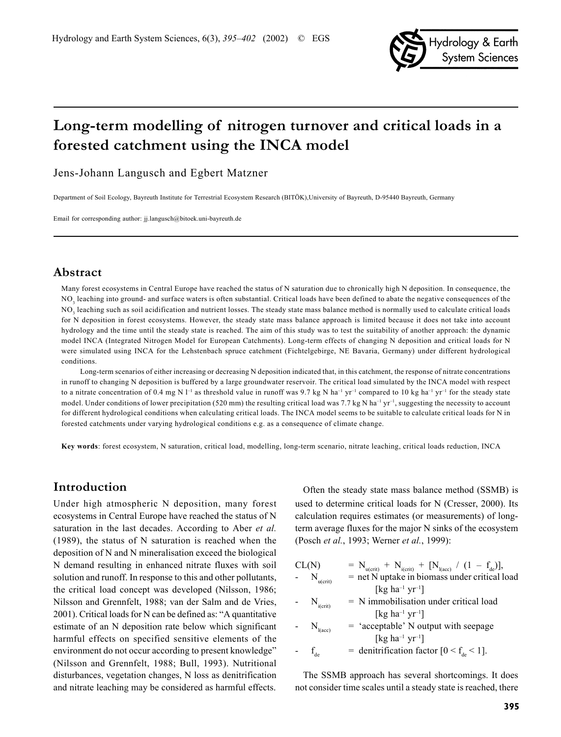

# **Long-term modelling of nitrogen turnover and critical loads in a forested catchment using the INCA model**

Jens-Johann Langusch and Egbert Matzner

Department of Soil Ecology, Bayreuth Institute for Terrestrial Ecosystem Research (BITÖK),University of Bayreuth, D-95440 Bayreuth, Germany

Email for corresponding author: jj.langusch@bitoek.uni-bayreuth.de

## **Abstract**

Many forest ecosystems in Central Europe have reached the status of N saturation due to chronically high N deposition. In consequence, the NO<sub>3</sub> leaching into ground- and surface waters is often substantial. Critical loads have been defined to abate the negative consequences of the  $NO<sub>3</sub>$  leaching such as soil acidification and nutrient losses. The steady state mass balance method is normally used to calculate critical loads for N deposition in forest ecosystems. However, the steady state mass balance approach is limited because it does not take into account hydrology and the time until the steady state is reached. The aim of this study was to test the suitability of another approach: the dynamic model INCA (Integrated Nitrogen Model for European Catchments). Long-term effects of changing N deposition and critical loads for N were simulated using INCA for the Lehstenbach spruce catchment (Fichtelgebirge, NE Bavaria, Germany) under different hydrological conditions.

Long-term scenarios of either increasing or decreasing N deposition indicated that, in this catchment, the response of nitrate concentrations in runoff to changing N deposition is buffered by a large groundwater reservoir. The critical load simulated by the INCA model with respect to a nitrate concentration of 0.4 mg N  $I^{-1}$  as threshold value in runoff was 9.7 kg N ha<sup>-1</sup> yr<sup>-1</sup> compared to 10 kg ha<sup>-1</sup> yr<sup>-1</sup> for the steady state model. Under conditions of lower precipitation (520 mm) the resulting critical load was 7.7 kg N ha<sup>-1</sup> yr<sup>-1</sup>, suggesting the necessity to account for different hydrological conditions when calculating critical loads. The INCA model seems to be suitable to calculate critical loads for N in forested catchments under varying hydrological conditions e.g. as a consequence of climate change.

**Key words**: forest ecosystem, N saturation, critical load, modelling, long-term scenario, nitrate leaching, critical loads reduction, INCA

## **Introduction**

Under high atmospheric N deposition, many forest ecosystems in Central Europe have reached the status of N saturation in the last decades. According to Aber *et al.* (1989), the status of N saturation is reached when the deposition of N and N mineralisation exceed the biological N demand resulting in enhanced nitrate fluxes with soil solution and runoff. In response to this and other pollutants, the critical load concept was developed (Nilsson, 1986; Nilsson and Grennfelt, 1988; van der Salm and de Vries, 2001). Critical loads for N can be defined as: "A quantitative estimate of an N deposition rate below which significant harmful effects on specified sensitive elements of the environment do not occur according to present knowledge" (Nilsson and Grennfelt, 1988; Bull, 1993). Nutritional disturbances, vegetation changes, N loss as denitrification and nitrate leaching may be considered as harmful effects.

Often the steady state mass balance method (SSMB) is used to determine critical loads for N (Cresser, 2000). Its calculation requires estimates (or measurements) of longterm average fluxes for the major N sinks of the ecosystem (Posch *et al.*, 1993; Werner *et al.*, 1999):

CL(N)  $= N_{u(crit)} + N_{i(crit)} + [N_{l(acc)} / (1 - f_{de})],$  $N_{\text{m/crit}}$  = net N uptake in biomass under critical load  $[kg ha^{-1} vr^{-1}]$  $N_{i(crit)}$  = N immobilisation under critical load [ $kg$  ha<sup>-1</sup> yr<sup>-1</sup>]  $N_{\text{l(acc)}}$  = 'acceptable' N output with seepage [kg ha<sup>-1</sup> yr<sup>-1</sup>]  $f_{de}$  = denitrification factor  $[0 < f_{de} < 1]$ .

The SSMB approach has several shortcomings. It does not consider time scales until a steady state is reached, there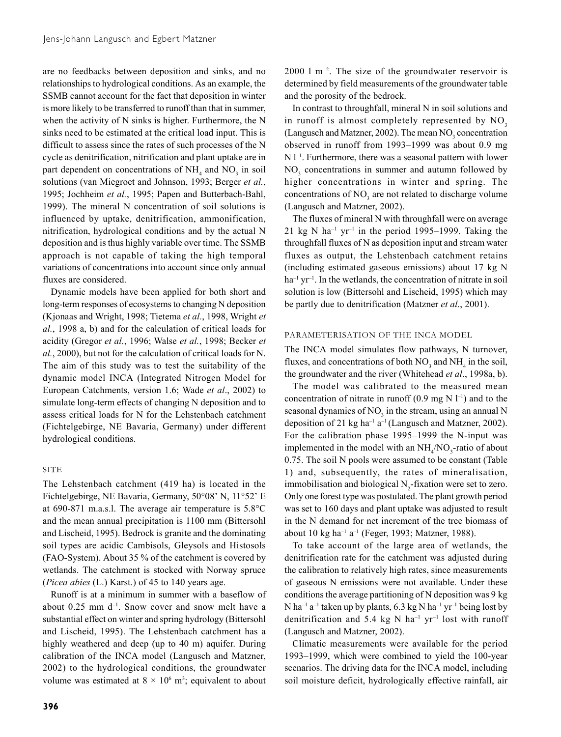are no feedbacks between deposition and sinks, and no relationships to hydrological conditions. As an example, the SSMB cannot account for the fact that deposition in winter is more likely to be transferred to runoff than that in summer, when the activity of N sinks is higher. Furthermore, the N sinks need to be estimated at the critical load input. This is difficult to assess since the rates of such processes of the N cycle as denitrification, nitrification and plant uptake are in part dependent on concentrations of  $NH<sub>4</sub>$  and  $NO<sub>3</sub>$  in soil solutions (van Miegroet and Johnson, 1993; Berger *et al.*, 1995; Jochheim *et al.*, 1995; Papen and Butterbach-Bahl, 1999). The mineral N concentration of soil solutions is influenced by uptake, denitrification, ammonification, nitrification, hydrological conditions and by the actual N deposition and is thus highly variable over time. The SSMB approach is not capable of taking the high temporal variations of concentrations into account since only annual fluxes are considered.

Dynamic models have been applied for both short and long-term responses of ecosystems to changing N deposition (Kjonaas and Wright, 1998; Tietema *et al.*, 1998, Wright *et al.*, 1998 a, b) and for the calculation of critical loads for acidity (Gregor *et al.*, 1996; Walse *et al.*, 1998; Becker *et al.*, 2000), but not for the calculation of critical loads for N. The aim of this study was to test the suitability of the dynamic model INCA (Integrated Nitrogen Model for European Catchments, version 1.6; Wade *et al*., 2002) to simulate long-term effects of changing N deposition and to assess critical loads for N for the Lehstenbach catchment (Fichtelgebirge, NE Bavaria, Germany) under different hydrological conditions.

## SITE

The Lehstenbach catchment (419 ha) is located in the Fichtelgebirge, NE Bavaria, Germany, 50°08' N, 11°52' E at 690-871 m.a.s.l. The average air temperature is 5.8°C and the mean annual precipitation is 1100 mm (Bittersohl and Lischeid, 1995). Bedrock is granite and the dominating soil types are acidic Cambisols, Gleysols and Histosols (FAO-System). About 35 % of the catchment is covered by wetlands. The catchment is stocked with Norway spruce (*Picea abies* (L.) Karst.) of 45 to 140 years age.

Runoff is at a minimum in summer with a baseflow of about  $0.25$  mm  $d^{-1}$ . Snow cover and snow melt have a substantial effect on winter and spring hydrology (Bittersohl and Lischeid, 1995). The Lehstenbach catchment has a highly weathered and deep (up to 40 m) aquifer. During calibration of the INCA model (Langusch and Matzner, 2002) to the hydrological conditions, the groundwater volume was estimated at  $8 \times 10^6$  m<sup>3</sup>; equivalent to about

 $2000$  l m<sup>-2</sup>. The size of the groundwater reservoir is determined by field measurements of the groundwater table and the porosity of the bedrock.

In contrast to throughfall, mineral N in soil solutions and in runoff is almost completely represented by  $NO<sub>3</sub>$ (Langusch and Matzner, 2002). The mean  $NO<sub>3</sub>$  concentration observed in runoff from 1993–1999 was about 0.9 mg N  $1^{-1}$ . Furthermore, there was a seasonal pattern with lower NO<sub>3</sub> concentrations in summer and autumn followed by higher concentrations in winter and spring. The concentrations of  $NO<sub>3</sub>$  are not related to discharge volume (Langusch and Matzner, 2002).

The fluxes of mineral N with throughfall were on average 21 kg N ha<sup>-1</sup> yr<sup>-1</sup> in the period 1995–1999. Taking the throughfall fluxes of N as deposition input and stream water fluxes as output, the Lehstenbach catchment retains (including estimated gaseous emissions) about 17 kg N  $ha^{-1}$  yr<sup>-1</sup>. In the wetlands, the concentration of nitrate in soil solution is low (Bittersohl and Lischeid, 1995) which may be partly due to denitrification (Matzner *et al*., 2001).

## PARAMETERISATION OF THE INCA MODEL

The INCA model simulates flow pathways, N turnover, fluxes, and concentrations of both  $NO_3$  and  $NH_4$  in the soil, the groundwater and the river (Whitehead *et al*., 1998a, b).

The model was calibrated to the measured mean concentration of nitrate in runoff  $(0.9 \text{ mg N } l^{-1})$  and to the seasonal dynamics of  $NO<sub>3</sub>$  in the stream, using an annual N deposition of 21 kg ha<sup>-1</sup> a<sup>-1</sup> (Langusch and Matzner, 2002). For the calibration phase 1995–1999 the N-input was implemented in the model with an  $NH_4/NO_3$ -ratio of about 0.75. The soil N pools were assumed to be constant (Table 1) and, subsequently, the rates of mineralisation, immobilisation and biological  $N_2$ -fixation were set to zero. Only one forest type was postulated. The plant growth period was set to 160 days and plant uptake was adjusted to result in the N demand for net increment of the tree biomass of about 10 kg ha<sup>-1</sup> a<sup>-1</sup> (Feger, 1993; Matzner, 1988).

To take account of the large area of wetlands, the denitrification rate for the catchment was adjusted during the calibration to relatively high rates, since measurements of gaseous N emissions were not available. Under these conditions the average partitioning of N deposition was 9 kg N ha<sup>-1</sup> a<sup>-1</sup> taken up by plants, 6.3 kg N ha<sup>-1</sup> yr<sup>-1</sup> being lost by denitrification and 5.4 kg N ha<sup>-1</sup> yr<sup>-1</sup> lost with runoff (Langusch and Matzner, 2002).

Climatic measurements were available for the period 1993–1999, which were combined to yield the 100-year scenarios. The driving data for the INCA model, including soil moisture deficit, hydrologically effective rainfall, air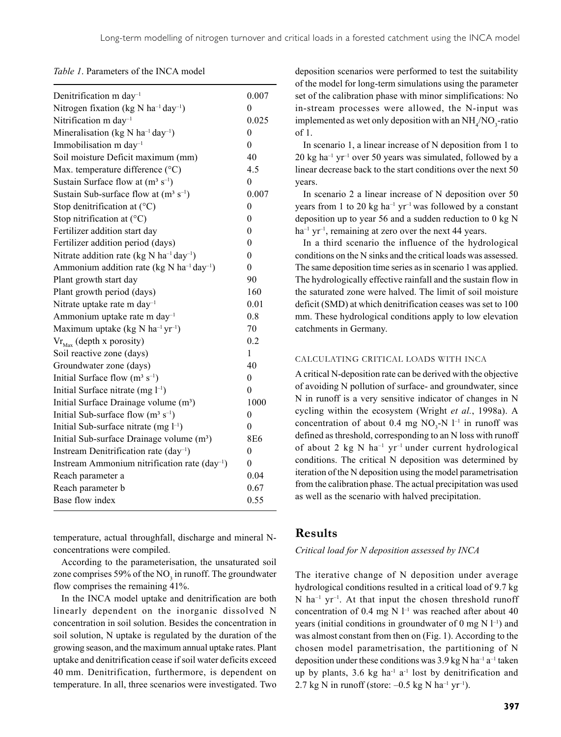*Table 1*. Parameters of the INCA model

| Denitrification m day <sup>-1</sup>                               | 0.007            |
|-------------------------------------------------------------------|------------------|
| Nitrogen fixation (kg N ha <sup>-1</sup> day <sup>-1</sup> )      | 0                |
| Nitrification m day <sup>-1</sup>                                 | 0.025            |
| Mineralisation (kg N ha <sup>-1</sup> day <sup>-1</sup> )         | $\theta$         |
| Immobilisation m day <sup>-1</sup>                                | $\theta$         |
| Soil moisture Deficit maximum (mm)                                | 40               |
| Max. temperature difference (°C)                                  | 4.5              |
| Sustain Surface flow at $(m^3 s^{-1})$                            | $\theta$         |
| Sustain Sub-surface flow at $(m^3 s^{-1})$                        | 0.007            |
| Stop denitrification at $(^{\circ}C)$                             | $\theta$         |
| Stop nitrification at $(^{\circ}C)$                               | $\boldsymbol{0}$ |
| Fertilizer addition start day                                     | $\theta$         |
| Fertilizer addition period (days)                                 | $\theta$         |
| Nitrate addition rate (kg N ha <sup>-1</sup> day <sup>-1</sup> )  | $\theta$         |
| Ammonium addition rate (kg N ha <sup>-1</sup> day <sup>-1</sup> ) | $\theta$         |
| Plant growth start day                                            | 90               |
| Plant growth period (days)                                        | 160              |
| Nitrate uptake rate m day <sup>-1</sup>                           | 0.01             |
| Ammonium uptake rate m day <sup>-1</sup>                          | 0.8              |
| Maximum uptake (kg N ha <sup>-1</sup> yr <sup>-1</sup> )          | 70               |
| $\text{Vr}_{\text{Max}}$ (depth x porosity)                       | 0.2              |
| Soil reactive zone (days)                                         | 1                |
| Groundwater zone (days)                                           | 40               |
| Initial Surface flow $(m^3 s^{-1})$                               | $\theta$         |
| Initial Surface nitrate (mg $l^{-1}$ )                            | $\theta$         |
| Initial Surface Drainage volume (m <sup>3</sup> )                 | 1000             |
| Initial Sub-surface flow $(m^3 s^{-1})$                           | $\theta$         |
| Initial Sub-surface nitrate (mg $l^{-1}$ )                        | 0                |
| Initial Sub-surface Drainage volume (m <sup>3</sup> )             | 8E6              |
| Instream Denitrification rate $(\text{day}^{-1})$                 | $\theta$         |
| Instream Ammonium nitrification rate $(\text{day}^{-1})$          | $\theta$         |
| Reach parameter a                                                 | 0.04             |
| Reach parameter b                                                 | 0.67             |
| Base flow index                                                   | 0.55             |

temperature, actual throughfall, discharge and mineral Nconcentrations were compiled.

According to the parameterisation, the unsaturated soil zone comprises 59% of the  $NO<sub>3</sub>$  in runoff. The groundwater flow comprises the remaining 41%.

In the INCA model uptake and denitrification are both linearly dependent on the inorganic dissolved N concentration in soil solution. Besides the concentration in soil solution, N uptake is regulated by the duration of the growing season, and the maximum annual uptake rates. Plant uptake and denitrification cease if soil water deficits exceed 40 mm. Denitrification, furthermore, is dependent on temperature. In all, three scenarios were investigated. Two

deposition scenarios were performed to test the suitability of the model for long-term simulations using the parameter set of the calibration phase with minor simplifications: No in-stream processes were allowed, the N-input was implemented as wet only deposition with an  $NH_{4}/NO_{3}$ -ratio of 1.

In scenario 1, a linear increase of N deposition from 1 to  $20 \text{ kg}$  ha<sup>-1</sup> yr<sup>-1</sup> over 50 years was simulated, followed by a linear decrease back to the start conditions over the next 50 years.

In scenario 2 a linear increase of N deposition over 50 years from 1 to 20 kg ha<sup>-1</sup> yr<sup>-1</sup> was followed by a constant deposition up to year 56 and a sudden reduction to 0 kg N  $ha^{-1}$  yr<sup>-1</sup>, remaining at zero over the next 44 years.

In a third scenario the influence of the hydrological conditions on the N sinks and the critical loads was assessed. The same deposition time series as in scenario 1 was applied. The hydrologically effective rainfall and the sustain flow in the saturated zone were halved. The limit of soil moisture deficit (SMD) at which denitrification ceases was set to 100 mm. These hydrological conditions apply to low elevation catchments in Germany.

#### CALCULATING CRITICAL LOADS WITH INCA

A critical N-deposition rate can be derived with the objective of avoiding N pollution of surface- and groundwater, since N in runoff is a very sensitive indicator of changes in N cycling within the ecosystem (Wright *et al.*, 1998a). A concentration of about 0.4 mg  $NO<sub>3</sub>-N$  l<sup>-1</sup> in runoff was defined as threshold, corresponding to an N loss with runoff of about 2 kg N ha<sup>-1</sup> yr<sup>-1</sup> under current hydrological conditions. The critical N deposition was determined by iteration of the N deposition using the model parametrisation from the calibration phase. The actual precipitation was used as well as the scenario with halved precipitation.

## **Results**

### *Critical load for N deposition assessed by INCA*

The iterative change of N deposition under average hydrological conditions resulted in a critical load of 9.7 kg  $N$  ha<sup>-1</sup> yr<sup>-1</sup>. At that input the chosen threshold runoff concentration of 0.4 mg N  $l^{-1}$  was reached after about 40 years (initial conditions in groundwater of 0 mg  $N$  l<sup>-1</sup>) and was almost constant from then on (Fig. 1). According to the chosen model parametrisation, the partitioning of N deposition under these conditions was  $3.9 \text{ kg N}$  ha<sup>-1</sup> a<sup>-1</sup> taken up by plants,  $3.6 \text{ kg}$  ha<sup>-1</sup> a<sup>-1</sup> lost by denitrification and 2.7 kg N in runoff (store:  $-0.5$  kg N ha<sup>-1</sup> yr<sup>-1</sup>).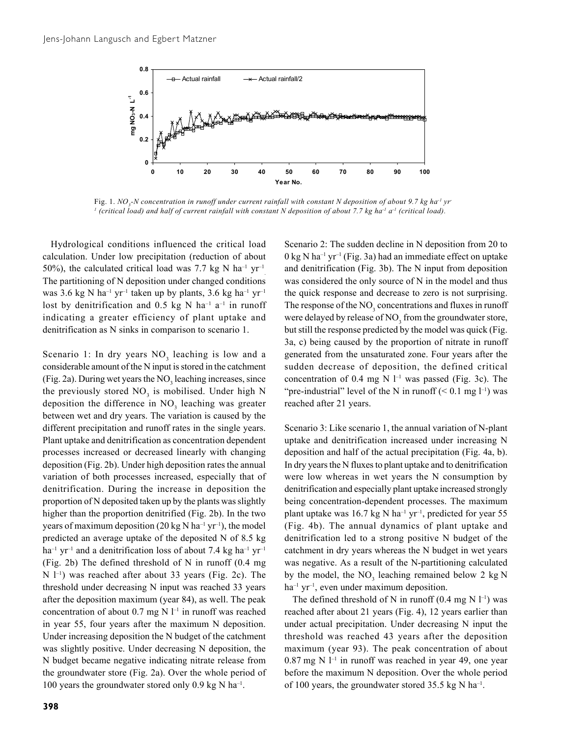

Fig. 1. NO<sub>3</sub>-N concentration in runoff under current rainfall with constant N deposition of about 9.7 kg ha<sup>-1</sup> yr<sup>-</sup> <sup>1</sup> (critical load) and half of current rainfall with constant N deposition of about 7.7 kg ha<sup>-1</sup> a<sup>-1</sup> (critical load).

Hydrological conditions influenced the critical load calculation. Under low precipitation (reduction of about 50%), the calculated critical load was 7.7 kg N ha<sup>-1</sup> yr<sup>-1</sup> The partitioning of N deposition under changed conditions was 3.6 kg N ha<sup>-1</sup> yr<sup>-1</sup> taken up by plants, 3.6 kg ha<sup>-1</sup> yr<sup>-1</sup> lost by denitrification and 0.5 kg N ha<sup>-1</sup> a<sup>-1</sup> in runoff indicating a greater efficiency of plant uptake and denitrification as N sinks in comparison to scenario 1.

Scenario 1: In dry years  $NO<sub>3</sub>$  leaching is low and a considerable amount of the N input is stored in the catchment (Fig. 2a). During wet years the  $NO<sub>3</sub>$  leaching increases, since the previously stored  $NO<sub>3</sub>$  is mobilised. Under high N deposition the difference in  $NO<sub>3</sub>$  leaching was greater between wet and dry years. The variation is caused by the different precipitation and runoff rates in the single years. Plant uptake and denitrification as concentration dependent processes increased or decreased linearly with changing deposition (Fig. 2b). Under high deposition rates the annual variation of both processes increased, especially that of denitrification. During the increase in deposition the proportion of N deposited taken up by the plants was slightly higher than the proportion denitrified (Fig. 2b). In the two years of maximum deposition (20 kg N ha<sup>-1</sup> yr<sup>-1</sup>), the model predicted an average uptake of the deposited N of 8.5 kg  $ha^{-1}$  yr<sup>-1</sup> and a denitrification loss of about 7.4 kg ha<sup>-1</sup> yr<sup>-1</sup> (Fig. 2b) The defined threshold of N in runoff (0.4 mg  $N$  l<sup>-1</sup>) was reached after about 33 years (Fig. 2c). The threshold under decreasing N input was reached 33 years after the deposition maximum (year 84), as well. The peak concentration of about 0.7 mg N  $l^{-1}$  in runoff was reached in year 55, four years after the maximum N deposition. Under increasing deposition the N budget of the catchment was slightly positive. Under decreasing N deposition, the N budget became negative indicating nitrate release from the groundwater store (Fig. 2a). Over the whole period of 100 years the groundwater stored only 0.9 kg N ha–1.

Scenario 2: The sudden decline in N deposition from 20 to  $0 \text{ kg N}$  ha<sup>-1</sup> yr<sup>-1</sup> (Fig. 3a) had an immediate effect on uptake and denitrification (Fig. 3b). The N input from deposition was considered the only source of N in the model and thus the quick response and decrease to zero is not surprising. The response of the  $NO<sub>3</sub>$  concentrations and fluxes in runoff were delayed by release of  $\rm NO_3$  from the groundwater store, but still the response predicted by the model was quick (Fig. 3a, c) being caused by the proportion of nitrate in runoff generated from the unsaturated zone. Four years after the sudden decrease of deposition, the defined critical concentration of 0.4 mg N  $l^{-1}$  was passed (Fig. 3c). The "pre-industrial" level of the N in runoff  $(< 0.1$  mg  $l^{-1}$ ) was reached after 21 years.

Scenario 3: Like scenario 1, the annual variation of N-plant uptake and denitrification increased under increasing N deposition and half of the actual precipitation (Fig. 4a, b). In dry years the N fluxes to plant uptake and to denitrification were low whereas in wet years the N consumption by denitrification and especially plant uptake increased strongly being concentration-dependent processes. The maximum plant uptake was 16.7 kg N ha<sup>-1</sup> yr<sup>-1</sup>, predicted for year 55 (Fig. 4b). The annual dynamics of plant uptake and denitrification led to a strong positive N budget of the catchment in dry years whereas the N budget in wet years was negative. As a result of the N-partitioning calculated by the model, the  $NO_3$  leaching remained below 2 kg N  $ha^{-1} yr^{-1}$ , even under maximum deposition.

The defined threshold of N in runoff  $(0.4 \text{ mg N } l^{-1})$  was reached after about 21 years (Fig. 4), 12 years earlier than under actual precipitation. Under decreasing N input the threshold was reached 43 years after the deposition maximum (year 93). The peak concentration of about  $0.87$  mg N  $1^{-1}$  in runoff was reached in year 49, one year before the maximum N deposition. Over the whole period of 100 years, the groundwater stored 35.5 kg N ha–1.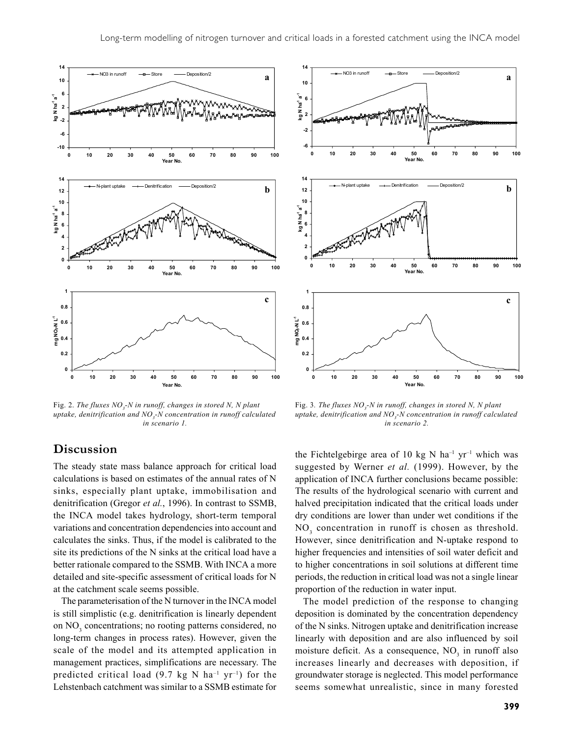

Fig. 2. The fluxes  $NO<sub>3</sub>$ -N in runoff, changes in stored N, N plant *uptake, denitrification and NO3 -N concentration in runoff calculated in scenario 1.*



Fig. 3. The fluxes  $NO<sub>3</sub>$ -N in runoff, changes in stored N, N plant *uptake, denitrification and NO3 -N concentration in runoff calculated in scenario 2.*

# **Discussion**

The steady state mass balance approach for critical load calculations is based on estimates of the annual rates of N sinks, especially plant uptake, immobilisation and denitrification (Gregor *et al.*, 1996). In contrast to SSMB, the INCA model takes hydrology, short-term temporal variations and concentration dependencies into account and calculates the sinks. Thus, if the model is calibrated to the site its predictions of the N sinks at the critical load have a better rationale compared to the SSMB. With INCA a more detailed and site-specific assessment of critical loads for N at the catchment scale seems possible.

The parameterisation of the N turnover in the INCA model is still simplistic (e.g. denitrification is linearly dependent on NO<sub>3</sub> concentrations; no rooting patterns considered, no long-term changes in process rates). However, given the scale of the model and its attempted application in management practices, simplifications are necessary. The predicted critical load (9.7 kg N ha<sup>-1</sup> yr<sup>-1</sup>) for the Lehstenbach catchment was similar to a SSMB estimate for

the Fichtelgebirge area of 10 kg N ha<sup>-1</sup> yr<sup>-1</sup> which was suggested by Werner *et al.* (1999). However, by the application of INCA further conclusions became possible: The results of the hydrological scenario with current and halved precipitation indicated that the critical loads under dry conditions are lower than under wet conditions if the NO<sub>3</sub> concentration in runoff is chosen as threshold. However, since denitrification and N-uptake respond to higher frequencies and intensities of soil water deficit and to higher concentrations in soil solutions at different time periods, the reduction in critical load was not a single linear proportion of the reduction in water input.

The model prediction of the response to changing deposition is dominated by the concentration dependency of the N sinks. Nitrogen uptake and denitrification increase linearly with deposition and are also influenced by soil moisture deficit. As a consequence,  $NO<sub>3</sub>$  in runoff also increases linearly and decreases with deposition, if groundwater storage is neglected. This model performance seems somewhat unrealistic, since in many forested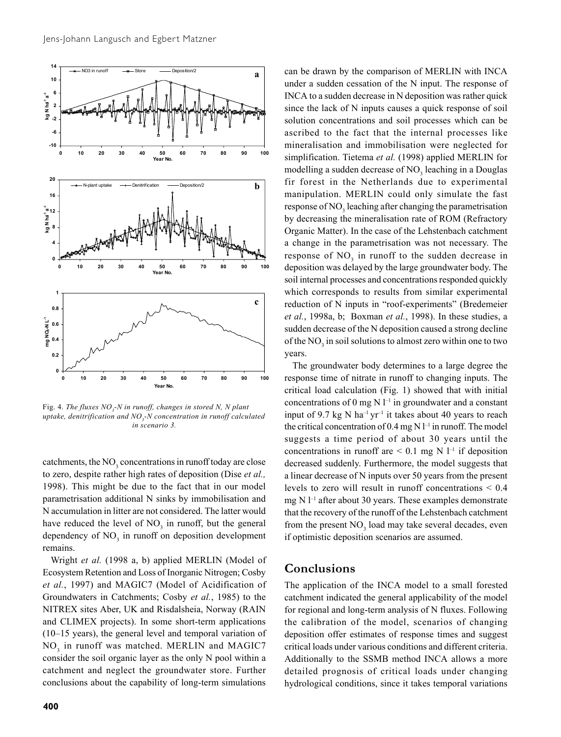

Fig. 4. *The fluxes NO<sub>3</sub>-N in runoff, changes in stored N, N plant uptake, denitrification and NO3 -N concentration in runoff calculated in scenario 3.*

catchments, the  $NO<sub>3</sub>$  concentrations in runoff today are close to zero, despite rather high rates of deposition (Dise *et al.,* 1998). This might be due to the fact that in our model parametrisation additional N sinks by immobilisation and N accumulation in litter are not considered. The latter would have reduced the level of  $NO<sub>3</sub>$  in runoff, but the general dependency of  $NO<sub>3</sub>$  in runoff on deposition development remains.

Wright *et al.* (1998 a, b) applied MERLIN (Model of Ecosystem Retention and Loss of Inorganic Nitrogen; Cosby *et al.*, 1997) and MAGIC7 (Model of Acidification of Groundwaters in Catchments; Cosby *et al.*, 1985) to the NITREX sites Aber, UK and Risdalsheia, Norway (RAIN and CLIMEX projects). In some short-term applications (10–15 years), the general level and temporal variation of NO<sub>3</sub> in runoff was matched. MERLIN and MAGIC7 consider the soil organic layer as the only N pool within a catchment and neglect the groundwater store. Further conclusions about the capability of long-term simulations

**400**

can be drawn by the comparison of MERLIN with INCA under a sudden cessation of the N input. The response of INCA to a sudden decrease in N deposition was rather quick since the lack of N inputs causes a quick response of soil solution concentrations and soil processes which can be ascribed to the fact that the internal processes like mineralisation and immobilisation were neglected for simplification. Tietema *et al.* (1998) applied MERLIN for modelling a sudden decrease of  $\text{NO}_3$  leaching in a Douglas fir forest in the Netherlands due to experimental manipulation. MERLIN could only simulate the fast response of NO<sub>3</sub> leaching after changing the parametrisation by decreasing the mineralisation rate of ROM (Refractory Organic Matter). In the case of the Lehstenbach catchment a change in the parametrisation was not necessary. The response of  $NO<sub>3</sub>$  in runoff to the sudden decrease in deposition was delayed by the large groundwater body. The soil internal processes and concentrations responded quickly which corresponds to results from similar experimental reduction of N inputs in "roof-experiments" (Bredemeier *et al.*, 1998a, b; Boxman *et al.*, 1998). In these studies, a sudden decrease of the N deposition caused a strong decline of the  $\rm NO_3$  in soil solutions to almost zero within one to two years.

The groundwater body determines to a large degree the response time of nitrate in runoff to changing inputs. The critical load calculation (Fig. 1) showed that with initial concentrations of 0 mg  $N$  l<sup>-1</sup> in groundwater and a constant input of 9.7 kg N ha<sup>-1</sup> yr<sup>-1</sup> it takes about 40 years to reach the critical concentration of 0.4 mg N  $l^{-1}$  in runoff. The model suggests a time period of about 30 years until the concentrations in runoff are  $\leq 0.1$  mg N l<sup>-1</sup> if deposition decreased suddenly. Furthermore, the model suggests that a linear decrease of N inputs over 50 years from the present levels to zero will result in runoff concentrations < 0.4 mg N  $l^{-1}$  after about 30 years. These examples demonstrate that the recovery of the runoff of the Lehstenbach catchment from the present  $NO<sub>3</sub>$  load may take several decades, even if optimistic deposition scenarios are assumed.

## **Conclusions**

The application of the INCA model to a small forested catchment indicated the general applicability of the model for regional and long-term analysis of N fluxes. Following the calibration of the model, scenarios of changing deposition offer estimates of response times and suggest critical loads under various conditions and different criteria. Additionally to the SSMB method INCA allows a more detailed prognosis of critical loads under changing hydrological conditions, since it takes temporal variations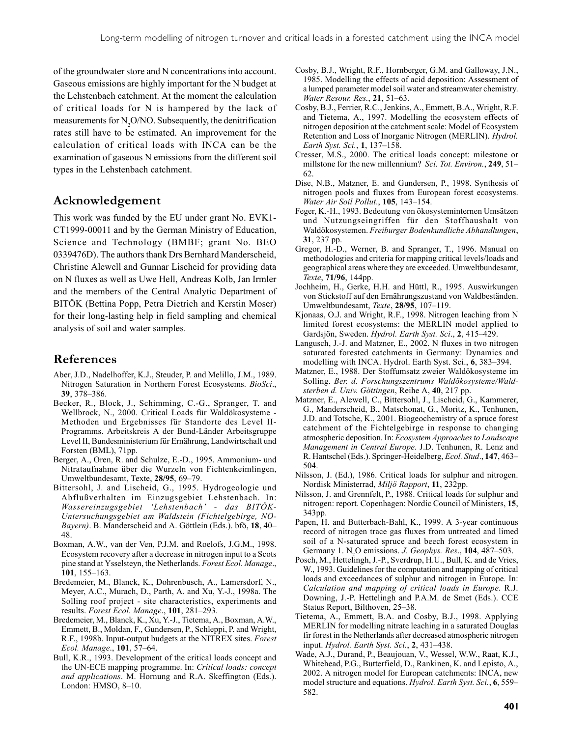of the groundwater store and N concentrations into account. Gaseous emissions are highly important for the N budget at the Lehstenbach catchment. At the moment the calculation of critical loads for N is hampered by the lack of measurements for  $N_2$ O/NO. Subsequently, the denitrification rates still have to be estimated. An improvement for the calculation of critical loads with INCA can be the examination of gaseous N emissions from the different soil types in the Lehstenbach catchment.

# **Acknowledgement**

This work was funded by the EU under grant No. EVK1- CT1999-00011 and by the German Ministry of Education, Science and Technology (BMBF; grant No. BEO 0339476D). The authors thank Drs Bernhard Manderscheid, Christine Alewell and Gunnar Lischeid for providing data on N fluxes as well as Uwe Hell, Andreas Kolb, Jan Irmler and the members of the Central Analytic Department of BITÖK (Bettina Popp, Petra Dietrich and Kerstin Moser) for their long-lasting help in field sampling and chemical analysis of soil and water samples.

# **References**

- Aber, J.D., Nadelhoffer, K.J., Steuder, P. and Melillo, J.M., 1989. Nitrogen Saturation in Northern Forest Ecosystems. *BioSci*., **39**, 378–386.
- Becker, R., Block, J., Schimming, C.-G., Spranger, T. and Wellbrock, N., 2000. Critical Loads für Waldökosysteme - Methoden und Ergebnisses für Standorte des Level II-Programms. Arbeitskreis A der Bund-Länder Arbeitsgruppe Level II, Bundesministerium für Ernährung, Landwirtschaft und Forsten (BML), 71pp.
- Berger, A., Oren, R. and Schulze, E.-D., 1995. Ammonium- und Nitrataufnahme über die Wurzeln von Fichtenkeimlingen, Umweltbundesamt, Texte, **28/95**, 69–79.
- Bittersohl, J. and Lischeid, G., 1995. Hydrogeologie und Abflußverhalten im Einzugsgebiet Lehstenbach. In: *Wassereinzugsgebiet 'Lehstenbach' - das BITÖK-Untersuchungsgebiet am Waldstein (Fichtelgebirge, NO-Bayern)*. B. Manderscheid and A. Göttlein (Eds.). bfö, **18**, 40– 48.
- Boxman, A.W., van der Ven, P.J.M. and Roelofs, J.G.M., 1998. Ecosystem recovery after a decrease in nitrogen input to a Scots pine stand at Ysselsteyn, the Netherlands. *Forest Ecol. Manage*., **101**, 155–163.
- Bredemeier, M., Blanck, K., Dohrenbusch, A., Lamersdorf, N., Meyer, A.C., Murach, D., Parth, A. and Xu, Y.-J., 1998a. The Solling roof project - site characteristics, experiments and results. *Forest Ecol. Manage*., **101**, 281–293.
- Bredemeier, M., Blanck, K., Xu, Y.-J., Tietema, A., Boxman, A.W., Emmett, B., Moldan, F., Gundersen, P., Schleppi, P. and Wright, R.F., 1998b. Input-output budgets at the NITREX sites. *Forest Ecol. Manage*., **101**, 57–64.
- Bull, K.R., 1993. Development of the critical loads concept and the UN-ECE mapping programme. In: *Critical loads: concept and applications*. M. Hornung and R.A. Skeffington (Eds.). London: HMSO, 8–10.
- Cosby, B.J., Wright, R.F., Hornberger, G.M. and Galloway, J.N., 1985. Modelling the effects of acid deposition: Assessment of a lumped parameter model soil water and streamwater chemistry. *Water Resour. Res.*, **21**, 51–63.
- Cosby, B.J., Ferrier, R.C., Jenkins, A., Emmett, B.A., Wright, R.F. and Tietema, A., 1997. Modelling the ecosystem effects of nitrogen deposition at the catchment scale: Model of Ecosystem Retention and Loss of Inorganic Nitrogen (MERLIN). *Hydrol. Earth Syst. Sci.*, **1**, 137–158.
- Cresser, M.S., 2000. The critical loads concept: milestone or millstone for the new millennium? *Sci. Tot. Environ.*, **249**, 51– 62.
- Dise, N.B., Matzner, E. and Gundersen, P., 1998. Synthesis of nitrogen pools and fluxes from European forest ecosystems. *Water Air Soil Pollut*., **105**, 143–154.
- Feger, K.-H., 1993. Bedeutung von ökosysteminternen Umsätzen und Nutzungseingriffen für den Stoffhaushalt von Waldökosystemen. *Freiburger Bodenkundliche Abhandlungen*, **31**, 237 pp.
- Gregor, H.-D., Werner, B. and Spranger, T., 1996. Manual on methodologies and criteria for mapping critical levels/loads and geographical areas where they are exceeded. Umweltbundesamt, *Texte*, **71/96**, 144pp.
- Jochheim, H., Gerke, H.H. and Hüttl, R., 1995. Auswirkungen von Stickstoff auf den Ernährungszustand von Waldbeständen. Umweltbundesamt, *Texte*, **28/95**, 107–119.
- Kjonaas, O.J. and Wright, R.F., 1998. Nitrogen leaching from N limited forest ecosystems: the MERLIN model applied to Gardsjön, Sweden. *Hydrol. Earth Syst. Sci*., **2**, 415–429.
- Langusch, J.-J. and Matzner, E., 2002. N fluxes in two nitrogen saturated forested catchments in Germany: Dynamics and modelling with INCA. Hydrol. Earth Syst. Sci., **6**, 383–394.
- Matzner, E., 1988. Der Stoffumsatz zweier Waldökosysteme im Solling. *Ber. d. Forschungszentrums Waldökosysteme/Waldsterben d. Univ. Göttingen*, Reihe A, **40**, 217 pp.
- Matzner, E., Alewell, C., Bittersohl, J., Lischeid, G., Kammerer, G., Manderscheid, B., Matschonat, G., Moritz, K., Tenhunen, J.D. and Totsche, K., 2001. Biogeochemistry of a spruce forest catchment of the Fichtelgebirge in response to changing atmospheric deposition. In: *Ecosystem Approaches to Landscape Management in Central Europe*. J.D. Tenhunen, R. Lenz and R. Hantschel (Eds.). Springer-Heidelberg, *Ecol. Stud*., **147**, 463– 504.
- Nilsson, J. (Ed.), 1986. Critical loads for sulphur and nitrogen. Nordisk Ministerrad, *Miljö Rapport*, **11**, 232pp.
- Nilsson, J. and Grennfelt, P., 1988. Critical loads for sulphur and nitrogen: report. Copenhagen: Nordic Council of Ministers, **15**, 343pp.
- Papen, H. and Butterbach-Bahl, K., 1999. A 3-year continuous record of nitrogen trace gas fluxes from untreated and limed soil of a N-saturated spruce and beech forest ecosystem in Germany 1. N2 O emissions. *J. Geophys. Res*., **104**, 487–503.
- Posch, M., Hettelingh, J.-P., Sverdrup, H.U., Bull, K. and de Vries, W., 1993. Guidelines for the computation and mapping of critical loads and exceedances of sulphur and nitrogen in Europe. In: *Calculation and mapping of critical loads in Europe*. R.J. Downing, J.-P. Hettelingh and P.A.M. de Smet (Eds.). CCE Status Report, Bilthoven, 25–38.
- Tietema, A., Emmett, B.A. and Cosby, B.J., 1998. Applying MERLIN for modelling nitrate leaching in a saturated Douglas fir forest in the Netherlands after decreased atmospheric nitrogen input. *Hydrol. Earth Syst. Sci.*, **2**, 431–438.
- Wade, A.J., Durand, P., Beaujouan, V., Wessel, W.W., Raat, K.J., Whitehead, P.G., Butterfield, D., Rankinen, K. and Lepisto, A., 2002. A nitrogen model for European catchments: INCA, new model structure and equations. *Hydrol. Earth Syst. Sci.*, **6**, 559– 582.